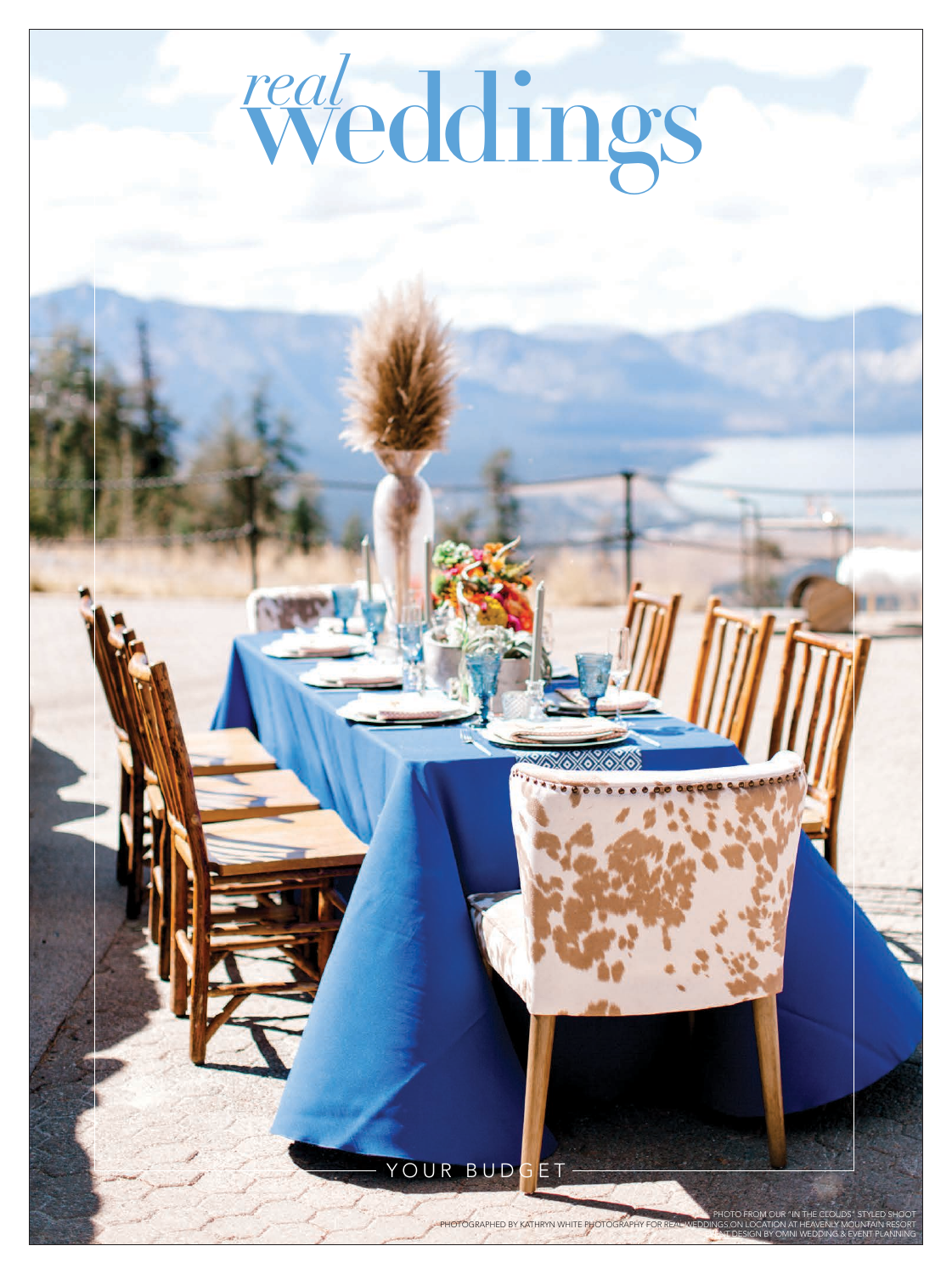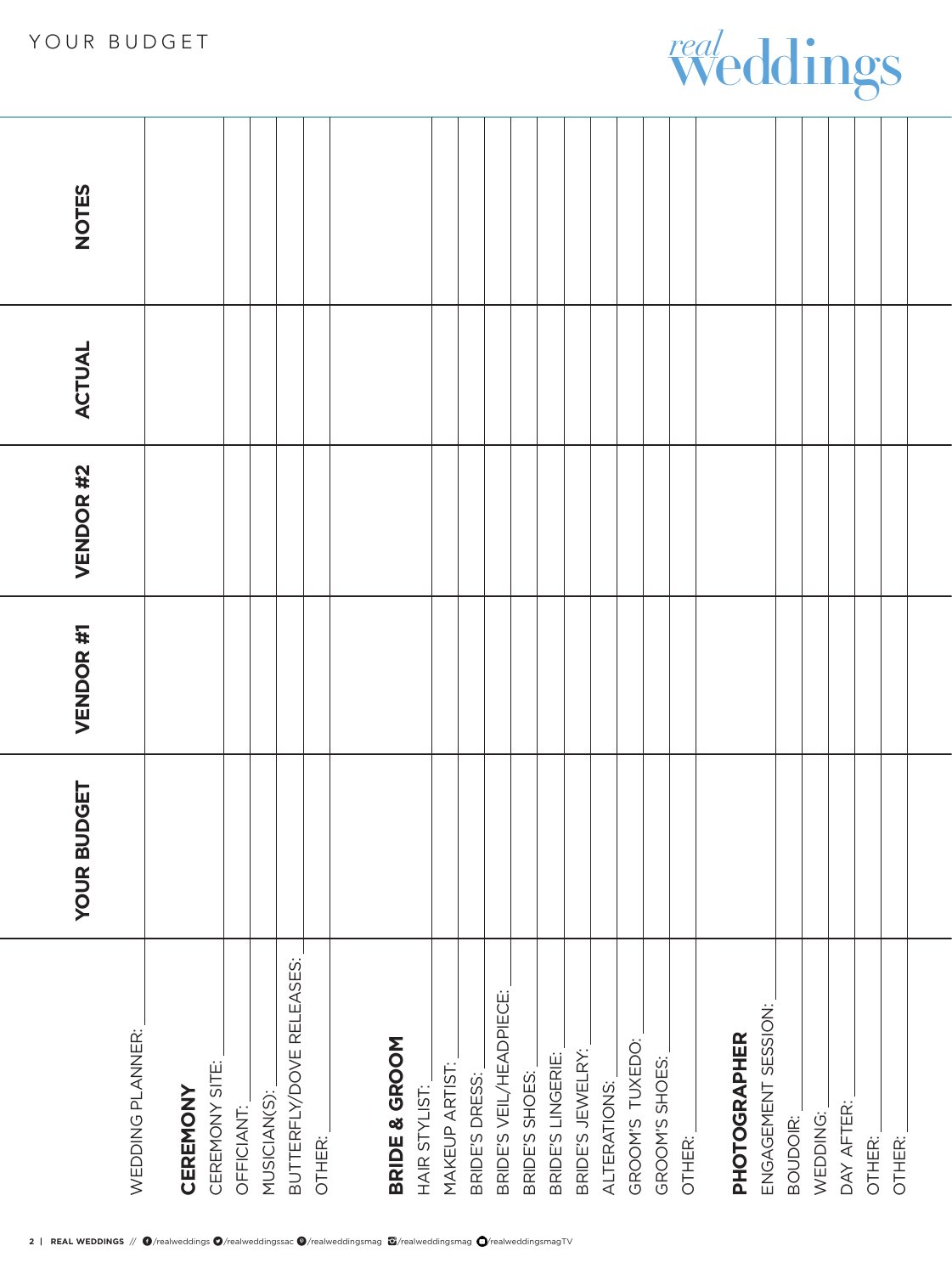## **YOUR BUDGET VENDOR #1 VENDOR #2 ACTUAL NOTES NOTES** ACTUAL VENDOR #2 VENDOR #1 **YOUR BUDGET** BUTTERFLY/DOVE RELEASES: BUTTERFLY/DOVE RELEASES: BRIDE'S VEIL/HEADPIECE: BRIDE'S VEIL/HEADPIECE: ENGAGEMENT SESSION: ENGAGEMENT SESSION: WEDDING PLANNER: WEDDING PLANNER: **PHOTOGRAPHER BRIDE & GROOM**  GROOM'S TUXEDO: **PHOTOGRAPHER** BRIDE & GROOM GROOM'S TUXEDO: BRIDE'S JEWELRY: BRIDE'S JEWELRY: BRIDE'S LINGERIE: BRIDE'S LINGERIE: GROOM'S SHOES: GROOM'S SHOES: CEREMONY SITE: CEREMONY SITE: MAKEUP ARTIST: MAKEUP ARTIST: BRIDE'S DRESS: BRIDE'S SHOES: BRIDE'S SHOES: BRIDE'S DRESS: ALTERATIONS: ALTERATIONS: HAIR STYLIST: HAIR STYLIST: CEREMONY **CEREMONY** MUSICIAN(S): MUSICIAN(S): OFFICIANT: DAY AFTER: DAY AFTER: OFFICIANT:

OTHER:

OTHER:

BOUDOIR: WEDDING:

WEDDING: BOUDOIR:

weddings *real*

OTHER: OTHER:

OTHER: OTHER:

OTHER:

OTHER: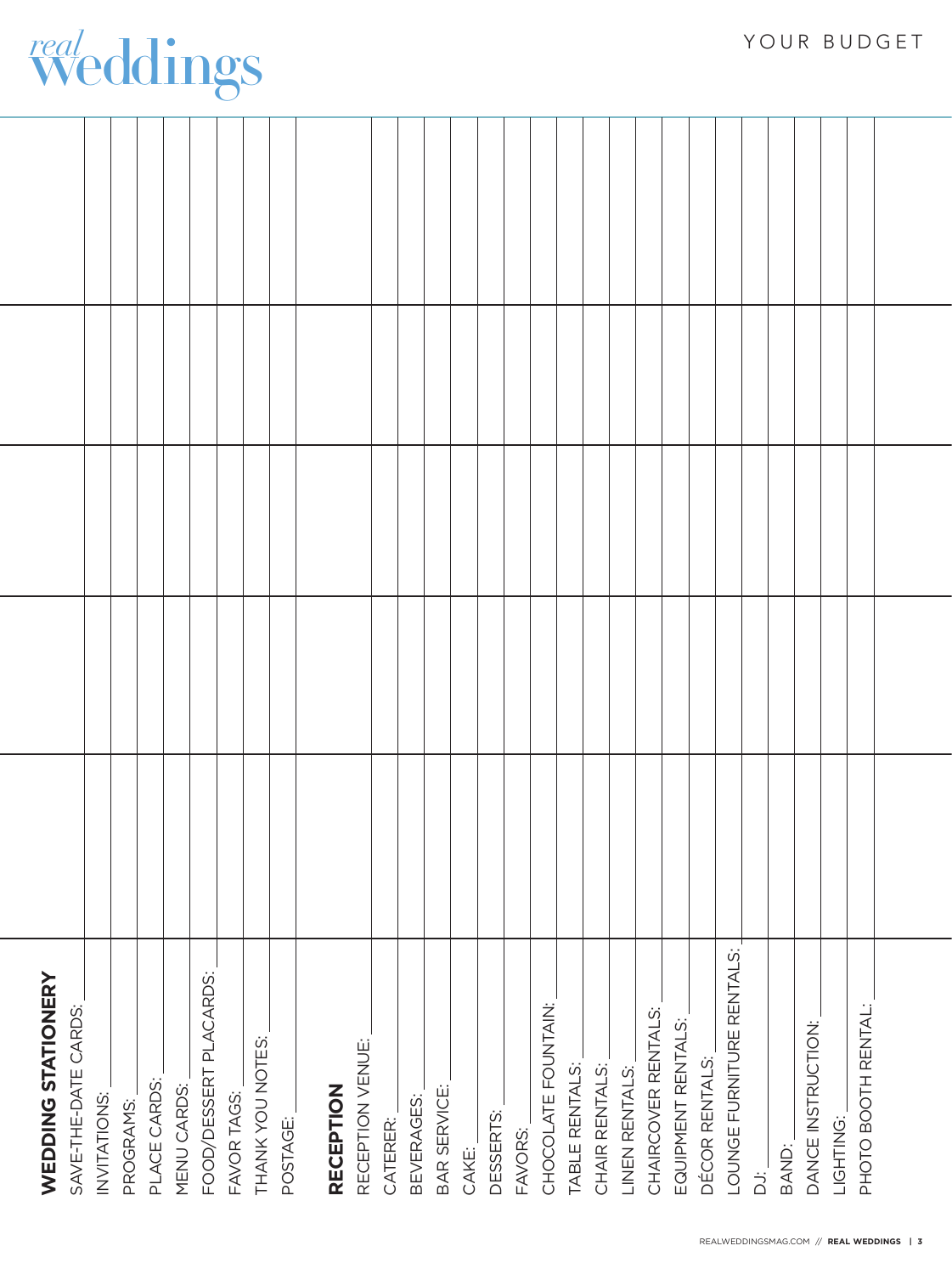| <b>WEDDING STATIONERY</b><br>SAVE-THE-DATE CARDS: |  |  |  |
|---------------------------------------------------|--|--|--|
| INVITATIONS:                                      |  |  |  |
| PROGRAMS:                                         |  |  |  |
| PLACE CARDS:                                      |  |  |  |
| MENU CARDS:                                       |  |  |  |
| FOOD/DESSERT PLACARDS:                            |  |  |  |
| FAVOR TAGS:                                       |  |  |  |
| THANK YOU NOTES:                                  |  |  |  |
| POSTAGE:                                          |  |  |  |
| <b>RECEPTION</b>                                  |  |  |  |
| RECEPTION VENUE:                                  |  |  |  |
| CATERER:                                          |  |  |  |
| BEVERAGES:                                        |  |  |  |
| BAR SERVICE:                                      |  |  |  |
| CAKE:                                             |  |  |  |
| DESSERTS:                                         |  |  |  |
| FAVORS:                                           |  |  |  |
| CHOCOLATE FOUNTAIN:                               |  |  |  |
| TABLE RENTALS:                                    |  |  |  |
| CHAIR RENTALS:                                    |  |  |  |
| LINEN RENTALS:                                    |  |  |  |
| CHAIRCOVER RENTALS:                               |  |  |  |
| EQUIPMENT RENTALS:                                |  |  |  |
| DÉCOR RENTALS:                                    |  |  |  |
| LOUNGE FURNITURE RENTALS:                         |  |  |  |
| $\ddot{\vec{\Delta}}$                             |  |  |  |
| BAND:                                             |  |  |  |
| DANCE INSTRUCTION:                                |  |  |  |
| LIGHTING:                                         |  |  |  |
| PHOTO BOOTH RENTAL:                               |  |  |  |
|                                                   |  |  |  |
|                                                   |  |  |  |

weddings *real*

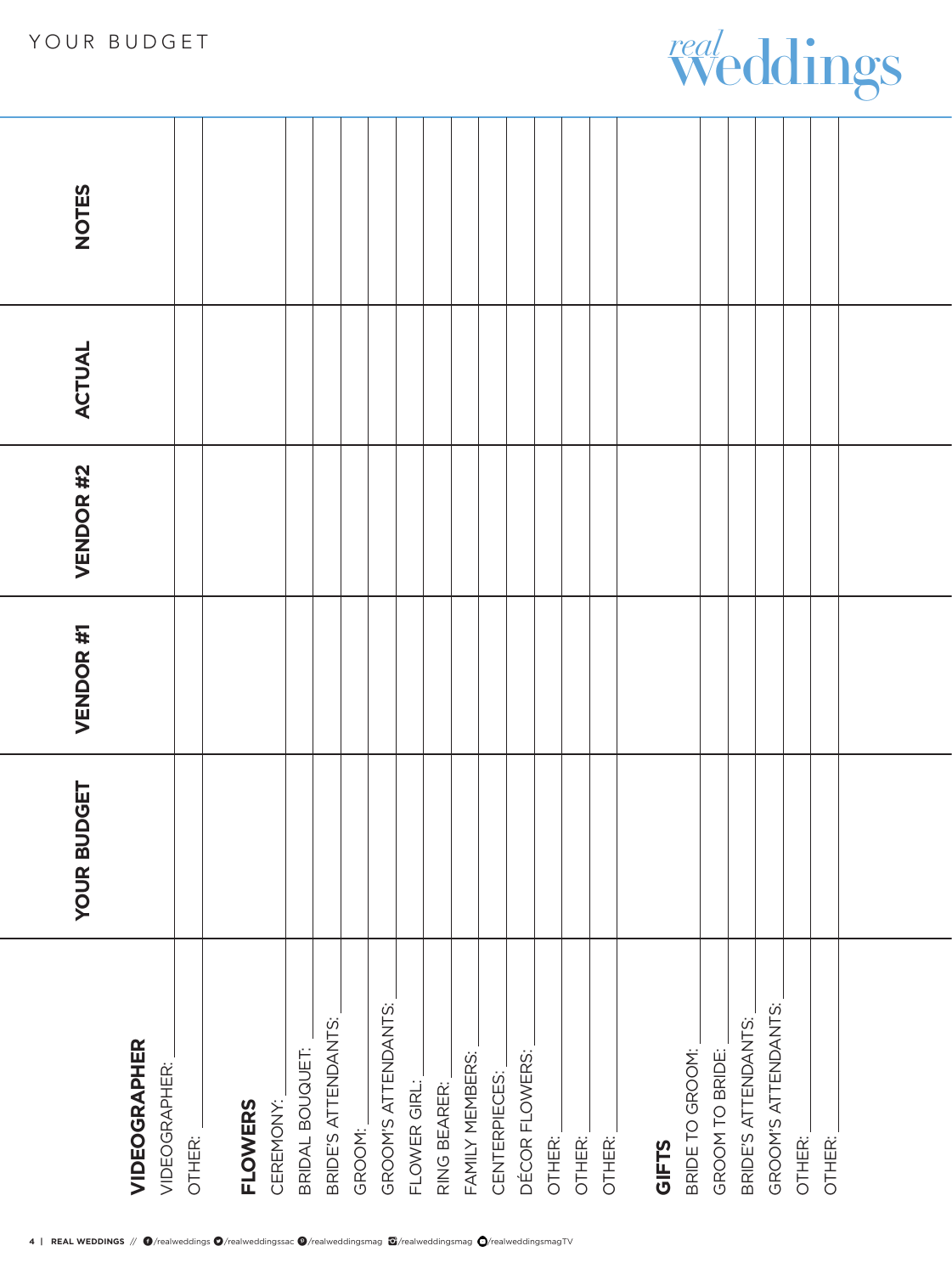## YOUR BUDGET

|                                      | <b>BUDGET</b><br><b>YOUR</b> | VENDOR #1 | VENDOR #2 | ACTUAL | <b>NOTES</b> |
|--------------------------------------|------------------------------|-----------|-----------|--------|--------------|
| <b>VIDEOGRAPHER</b><br>VIDEOGRAPHER: |                              |           |           |        |              |
| OTHER:                               |                              |           |           |        |              |
|                                      |                              |           |           |        |              |
| CEREMONY:<br><b>FLOWERS</b>          |                              |           |           |        |              |
| BRIDAL BOUQUET:                      |                              |           |           |        |              |
| BRIDE'S ATTENDANTS:                  |                              |           |           |        |              |
| GROOM:                               |                              |           |           |        |              |
| GROOM'S ATTENDANTS:                  |                              |           |           |        |              |
| FLOWER GIRL:                         |                              |           |           |        |              |
| RING BEARER:                         |                              |           |           |        |              |
| FAMILY MEMBERS:                      |                              |           |           |        |              |
| CENTERPIECES:                        |                              |           |           |        |              |
| DÉCOR FLOWERS:                       |                              |           |           |        |              |
| OTHER:                               |                              |           |           |        |              |
| OTHER:                               |                              |           |           |        |              |
| OTHER.                               |                              |           |           |        |              |
|                                      |                              |           |           |        |              |
| GIFTS                                |                              |           |           |        |              |
| BRIDE TO GROOM:                      |                              |           |           |        |              |
| GROOM TO BRIDE:                      |                              |           |           |        |              |
| BRIDE'S ATTENDANTS:                  |                              |           |           |        |              |
| GROOM'S ATTENDANTS:                  |                              |           |           |        |              |
| OTHER:                               |                              |           |           |        |              |
| OTHER:                               |                              |           |           |        |              |
|                                      |                              |           |           |        |              |
|                                      |                              |           |           |        |              |
|                                      |                              |           |           |        |              |